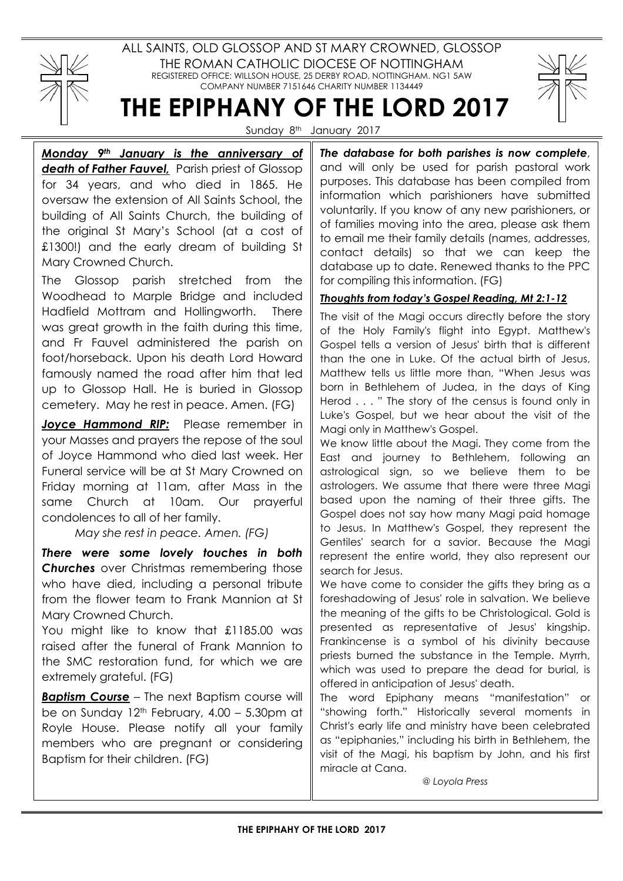

ALL SAINTS, OLD GLOSSOP AND ST MARY CROWNED, GLOSSOP THE ROMAN CATHOLIC DIOCESE OF NOTTINGHAM REGISTERED OFFICE: WILLSON HOUSE, 25 DERBY ROAD, NOTTINGHAM. NG1 5AW COMPANY NUMBER 7151646 CHARITY NUMBER 1134449

# THE EPIPHANY OF THE LORD 2017

Sunday 8<sup>th</sup> January 2017

Monday 9<sup>th</sup> January is the anniversary of death of Father Fauvel, Parish priest of Glossop for 34 years, and who died in 1865. He oversaw the extension of All Saints School, the building of All Saints Church, the building of the original St Mary's School (at a cost of £1300!) and the early dream of building St Mary Crowned Church.

The Glossop parish stretched from the Woodhead to Marple Bridge and included Hadfield Mottram and Hollingworth. There was great growth in the faith during this time, and Fr Fauvel administered the parish on foot/horseback. Upon his death Lord Howard famously named the road after him that led up to Glossop Hall. He is buried in Glossop cemetery. May he rest in peace. Amen. (FG)

Joyce Hammond RIP: Please remember in your Masses and prayers the repose of the soul of Joyce Hammond who died last week. Her Funeral service will be at St Mary Crowned on Friday morning at 11am, after Mass in the same Church at 10am. Our prayerful condolences to all of her family.

May she rest in peace. Amen. (FG)

There were some lovely touches in both **Churches** over Christmas remembering those who have died, including a personal tribute from the flower team to Frank Mannion at St Mary Crowned Church.

You might like to know that £1185.00 was raised after the funeral of Frank Mannion to the SMC restoration fund, for which we are extremely grateful. (FG)

**Baptism Course – The next Baptism course will** be on Sunday  $12<sup>th</sup>$  February,  $4.00 - 5.30$ pm at Royle House. Please notify all your family members who are pregnant or considering Baptism for their children. (FG)

Let us join with Pope Francis'

The database for both parishes is now complete, and will only be used for parish pastoral work purposes. This database has been compiled from information which parishioners have submitted voluntarily. If you know of any new parishioners, or of families moving into the area, please ask them to email me their family details (names, addresses, contact details) so that we can keep the database up to date. Renewed thanks to the PPC for compiling this information. (FG)

# Thoughts from today's Gospel Reading, Mt 2:1-12

The visit of the Magi occurs directly before the story of the Holy Family's flight into Egypt. Matthew's Gospel tells a version of Jesus' birth that is different than the one in Luke. Of the actual birth of Jesus, Matthew tells us little more than, "When Jesus was born in Bethlehem of Judea, in the days of King Herod . . . " The story of the census is found only in Luke's Gospel, but we hear about the visit of the Magi only in Matthew's Gospel.

We know little about the Magi. They come from the East and journey to Bethlehem, following an astrological sign, so we believe them to be astrologers. We assume that there were three Magi based upon the naming of their three gifts. The Gospel does not say how many Magi paid homage to Jesus. In Matthew's Gospel, they represent the Gentiles' search for a savior. Because the Magi represent the entire world, they also represent our search for Jesus.

We have come to consider the gifts they bring as a foreshadowing of Jesus' role in salvation. We believe the meaning of the gifts to be Christological. Gold is presented as representative of Jesus' kingship. Frankincense is a symbol of his divinity because priests burned the substance in the Temple. Myrrh, which was used to prepare the dead for burial, is offered in anticipation of Jesus' death.

The word Epiphany means "manifestation" or "showing forth." Historically several moments in Christ's early life and ministry have been celebrated as "epiphanies," including his birth in Bethlehem, the visit of the Magi, his baptism by John, and his first miracle at Cana.

@ Loyola Press